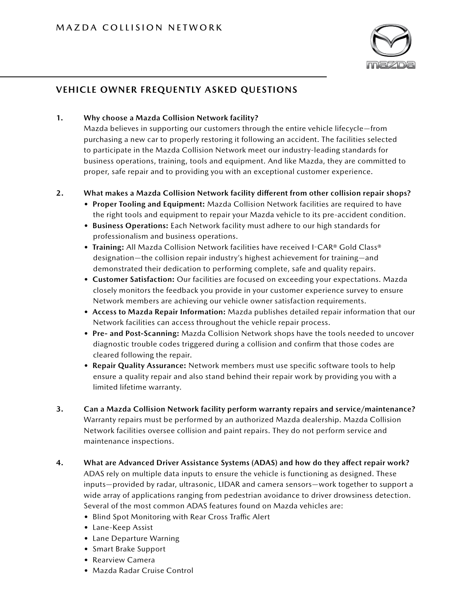

# **VEHICLE OWNER FREQUENTLY ASKED QUESTIONS**

## **1. Why choose a Mazda Collision Network facility?**

Mazda believes in supporting our customers through the entire vehicle lifecycle—from purchasing a new car to properly restoring it following an accident. The facilities selected to participate in the Mazda Collision Network meet our industry-leading standards for business operations, training, tools and equipment. And like Mazda, they are committed to proper, safe repair and to providing you with an exceptional customer experience.

## **2. What makes a Mazda Collision Network facility different from other collision repair shops?**

- **Proper Tooling and Equipment:** Mazda Collision Network facilities are required to have the right tools and equipment to repair your Mazda vehicle to its pre-accident condition.
- **Business Operations:** Each Network facility must adhere to our high standards for professionalism and business operations.
- **Training:** All Mazda Collision Network facilities have received I-CAR® Gold Class® designation—the collision repair industry's highest achievement for training—and demonstrated their dedication to performing complete, safe and quality repairs.
- **Customer Satisfaction:** Our facilities are focused on exceeding your expectations. Mazda closely monitors the feedback you provide in your customer experience survey to ensure Network members are achieving our vehicle owner satisfaction requirements.
- **Access to Mazda Repair Information:** Mazda publishes detailed repair information that our Network facilities can access throughout the vehicle repair process.
- **Pre- and Post-Scanning:** Mazda Collision Network shops have the tools needed to uncover diagnostic trouble codes triggered during a collision and confirm that those codes are cleared following the repair.
- **Repair Quality Assurance:** Network members must use specific software tools to help ensure a quality repair and also stand behind their repair work by providing you with a limited lifetime warranty.
- **3. Can a Mazda Collision Network facility perform warranty repairs and service/maintenance?** Warranty repairs must be performed by an authorized Mazda dealership. Mazda Collision Network facilities oversee collision and paint repairs. They do not perform service and maintenance inspections.
- **4. What are Advanced Driver Assistance Systems (ADAS) and how do they affect repair work?** ADAS rely on multiple data inputs to ensure the vehicle is functioning as designed. These inputs—provided by radar, ultrasonic, LIDAR and camera sensors—work together to support a wide array of applications ranging from pedestrian avoidance to driver drowsiness detection. Several of the most common ADAS features found on Mazda vehicles are:
	- Blind Spot Monitoring with Rear Cross Traffic Alert
	- Lane-Keep Assist
	- Lane Departure Warning
	- Smart Brake Support
	- Rearview Camera
	- Mazda Radar Cruise Control